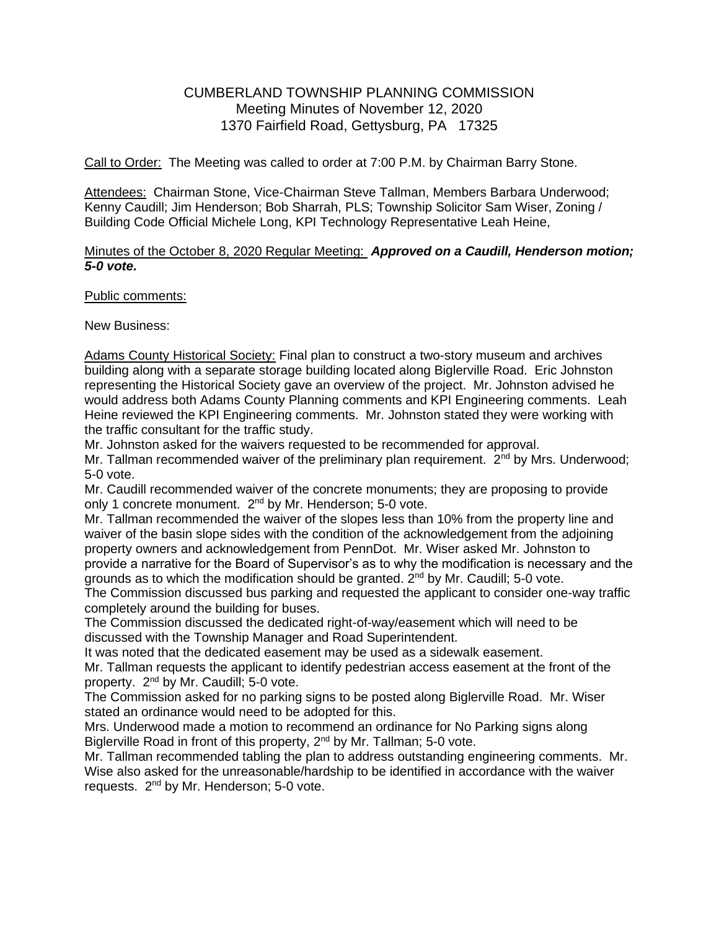## CUMBERLAND TOWNSHIP PLANNING COMMISSION Meeting Minutes of November 12, 2020 1370 Fairfield Road, Gettysburg, PA 17325

Call to Order: The Meeting was called to order at 7:00 P.M. by Chairman Barry Stone.

Attendees: Chairman Stone, Vice-Chairman Steve Tallman, Members Barbara Underwood; Kenny Caudill; Jim Henderson; Bob Sharrah, PLS; Township Solicitor Sam Wiser, Zoning / Building Code Official Michele Long, KPI Technology Representative Leah Heine,

## Minutes of the October 8, 2020 Regular Meeting: *Approved on a Caudill, Henderson motion; 5-0 vote.*

## Public comments:

New Business:

Adams County Historical Society: Final plan to construct a two-story museum and archives building along with a separate storage building located along Biglerville Road. Eric Johnston representing the Historical Society gave an overview of the project. Mr. Johnston advised he would address both Adams County Planning comments and KPI Engineering comments. Leah Heine reviewed the KPI Engineering comments. Mr. Johnston stated they were working with the traffic consultant for the traffic study.

Mr. Johnston asked for the waivers requested to be recommended for approval.

Mr. Tallman recommended waiver of the preliminary plan requirement.  $2<sup>nd</sup>$  by Mrs. Underwood; 5-0 vote.

Mr. Caudill recommended waiver of the concrete monuments; they are proposing to provide only 1 concrete monument. 2<sup>nd</sup> by Mr. Henderson; 5-0 vote.

Mr. Tallman recommended the waiver of the slopes less than 10% from the property line and waiver of the basin slope sides with the condition of the acknowledgement from the adjoining property owners and acknowledgement from PennDot. Mr. Wiser asked Mr. Johnston to provide a narrative for the Board of Supervisor's as to why the modification is necessary and the grounds as to which the modification should be granted.  $2^{nd}$  by Mr. Caudill; 5-0 vote.

The Commission discussed bus parking and requested the applicant to consider one-way traffic completely around the building for buses.

The Commission discussed the dedicated right-of-way/easement which will need to be discussed with the Township Manager and Road Superintendent.

It was noted that the dedicated easement may be used as a sidewalk easement.

Mr. Tallman requests the applicant to identify pedestrian access easement at the front of the property. 2nd by Mr. Caudill; 5-0 vote.

The Commission asked for no parking signs to be posted along Biglerville Road. Mr. Wiser stated an ordinance would need to be adopted for this.

Mrs. Underwood made a motion to recommend an ordinance for No Parking signs along Biglerville Road in front of this property, 2<sup>nd</sup> by Mr. Tallman; 5-0 vote.

Mr. Tallman recommended tabling the plan to address outstanding engineering comments. Mr. Wise also asked for the unreasonable/hardship to be identified in accordance with the waiver requests. 2nd by Mr. Henderson; 5-0 vote.